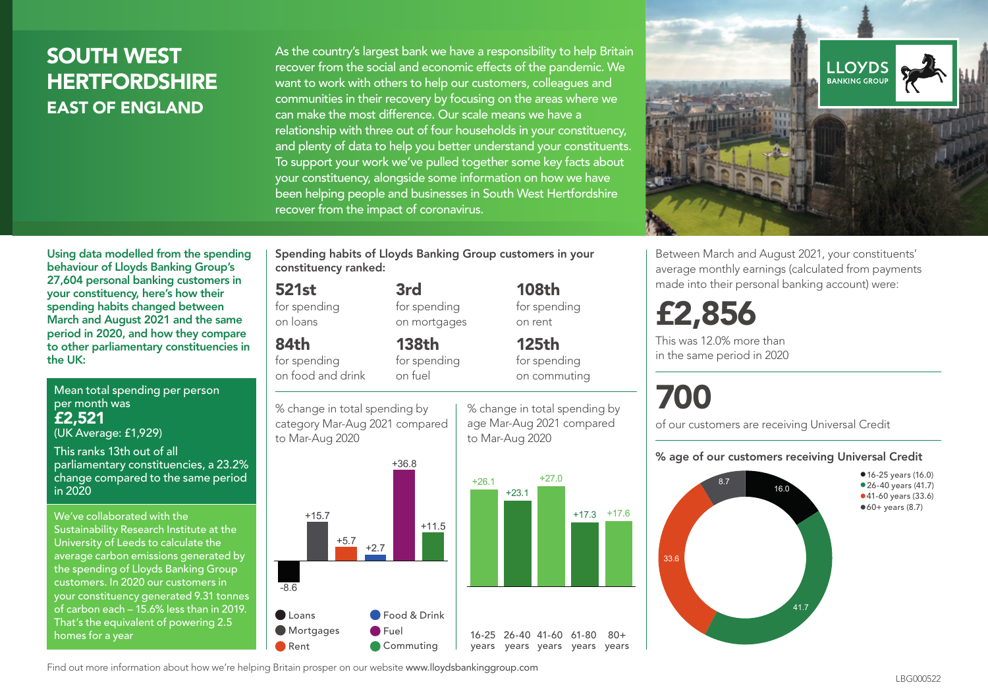## SOUTH WEST **HERTFORDSHIRE** EAST OF ENGLAND

As the country's largest bank we have a responsibility to help Britain recover from the social and economic effects of the pandemic. We want to work with others to help our customers, colleagues and communities in their recovery by focusing on the areas where we can make the most difference. Our scale means we have a relationship with three out of four households in your constituency, and plenty of data to help you better understand your constituents. To support your work we've pulled together some key facts about your constituency, alongside some information on how we have been helping people and businesses in South West Hertfordshire recover from the impact of coronavirus.



Between March and August 2021, your constituents' average monthly earnings (calculated from payments made into their personal banking account) were:

## £2,856

This was 12.0% more than in the same period in 2020

# 700

 $80 +$ 

of our customers are receiving Universal Credit

#### % age of our customers receiving Universal Credit



Using data modelled from the spending behaviour of Lloyds Banking Group's 27,604 personal banking customers in your constituency, here's how their spending habits changed between March and August 2021 and the same period in 2020, and how they compare to other parliamentary constituencies in the UK:

Mean total spending per person per month was £2,521 (UK Average: £1,929)

This ranks 13th out of all

parliamentary constituencies, a 23.2% change compared to the same period in 2020

We've collaborated with the Sustainability Research Institute at the University of Leeds to calculate the average carbon emissions generated by the spending of Lloyds Banking Group customers. In 2020 our customers in your constituency generated 9.31 tonnes of carbon each – 15.6% less than in 2019. That's the equivalent of powering 2.5 homes for a year

Spending habits of Lloyds Banking Group customers in your constituency ranked:

> 3rd for spending on mortgages

138th

#### 521st

for spending on loans

84th

for spending on food and drink for spending on fuel

% change in total spending by category Mar-Aug 2021 compared to Mar-Aug 2020



108th for spending on rent

125th for spending on commuting





Find out more information about how we're helping Britain prosper on our website www.lloydsbankinggroup.com